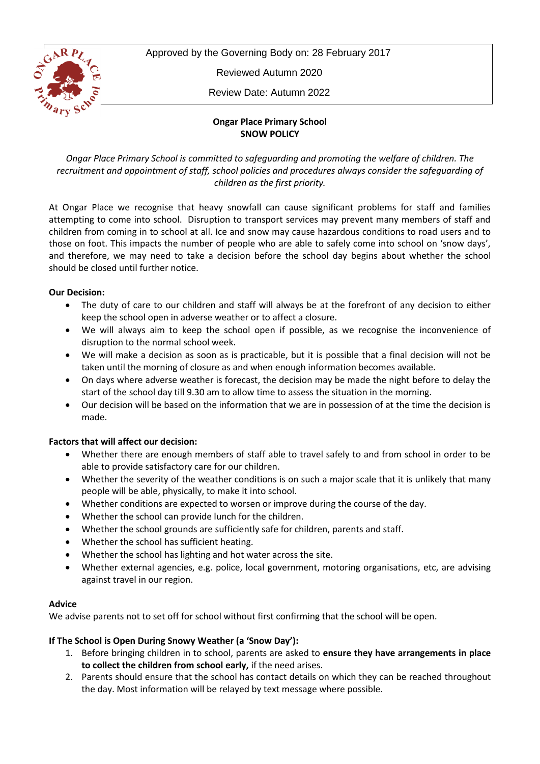

Approved by the Governing Body on: 28 February 2017

Reviewed Autumn 2020

Review Date: Autumn 2022

# **Ongar Place Primary School SNOW POLICY**

*Ongar Place Primary School is committed to safeguarding and promoting the welfare of children. The recruitment and appointment of staff, school policies and procedures always consider the safeguarding of children as the first priority.*

At Ongar Place we recognise that heavy snowfall can cause significant problems for staff and families attempting to come into school. Disruption to transport services may prevent many members of staff and children from coming in to school at all. Ice and snow may cause hazardous conditions to road users and to those on foot. This impacts the number of people who are able to safely come into school on 'snow days', and therefore, we may need to take a decision before the school day begins about whether the school should be closed until further notice.

# **Our Decision:**

- The duty of care to our children and staff will always be at the forefront of any decision to either keep the school open in adverse weather or to affect a closure.
- We will always aim to keep the school open if possible, as we recognise the inconvenience of disruption to the normal school week.
- We will make a decision as soon as is practicable, but it is possible that a final decision will not be taken until the morning of closure as and when enough information becomes available.
- On days where adverse weather is forecast, the decision may be made the night before to delay the start of the school day till 9.30 am to allow time to assess the situation in the morning.
- Our decision will be based on the information that we are in possession of at the time the decision is made.

# **Factors that will affect our decision:**

- Whether there are enough members of staff able to travel safely to and from school in order to be able to provide satisfactory care for our children.
- Whether the severity of the weather conditions is on such a major scale that it is unlikely that many people will be able, physically, to make it into school.
- Whether conditions are expected to worsen or improve during the course of the day.
- Whether the school can provide lunch for the children.
- Whether the school grounds are sufficiently safe for children, parents and staff.
- Whether the school has sufficient heating.
- Whether the school has lighting and hot water across the site.
- Whether external agencies, e.g. police, local government, motoring organisations, etc, are advising against travel in our region.

#### **Advice**

We advise parents not to set off for school without first confirming that the school will be open.

# **If The School is Open During Snowy Weather (a 'Snow Day'):**

- 1. Before bringing children in to school, parents are asked to **ensure they have arrangements in place to collect the children from school early,** if the need arises.
- 2. Parents should ensure that the school has contact details on which they can be reached throughout the day. Most information will be relayed by text message where possible.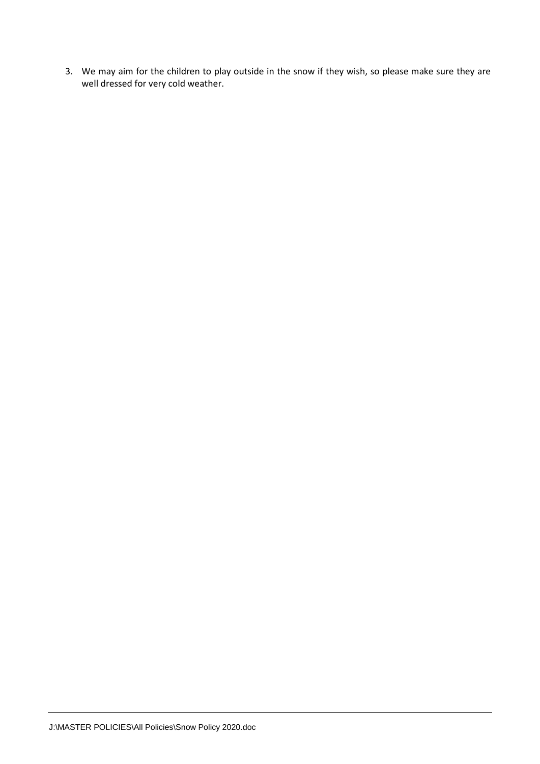3. We may aim for the children to play outside in the snow if they wish, so please make sure they are well dressed for very cold weather.